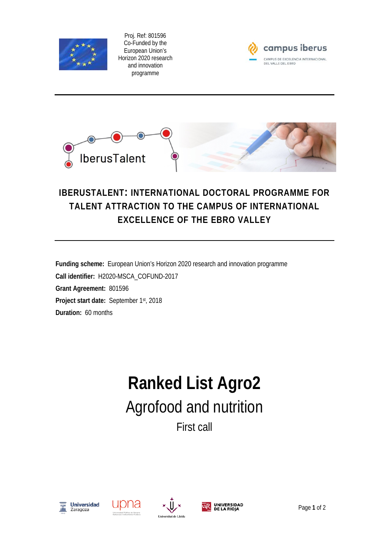

Proj. Ref: 801596 Co-Funded by the European Union's Horizon 2020 research and innovation programme





## **IBERUSTALENT: INTERNATIONAL DOCTORAL PROGRAMME FOR TALENT ATTRACTION TO THE CAMPUS OF INTERNATIONAL EXCELLENCE OF THE EBRO VALLEY**

**Funding scheme:** European Union's Horizon 2020 research and innovation programme **Call identifier:** H2020-MSCA\_COFUND-2017 **Grant Agreement:** 801596 **Project start date:** September 1st, 2018 **Duration:** 60 months

## **Ranked List Agro2** Agrofood and nutrition First call